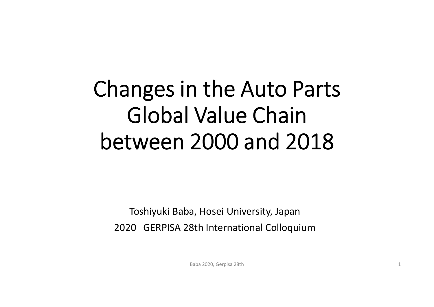# Changes in the Auto Parts Global Value Chain between 2000 and 2018

Toshiyuki Baba, Hosei University, Japan 2020 GERPISA 28th International Colloquium

Baba 2020, Gerpisa 28th 1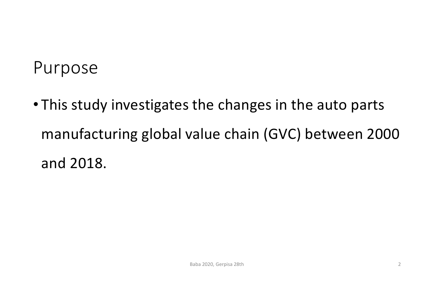#### Purpose

• This study investigates the changes in the auto parts manufacturing global value chain (GVC) between 2000 and 2018.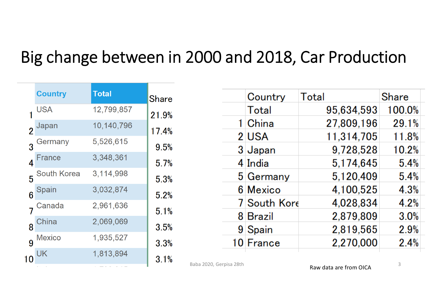#### Big change between in 2000 and 2018, Car Production

|                | <b>Country</b> | <b>Total</b> | <b>Share</b> |
|----------------|----------------|--------------|--------------|
|                | USA            | 12,799,857   | 21.9%        |
| $\overline{2}$ | Japan          | 10,140,796   | 17.4%        |
|                | Germany        | 5,526,615    | 9.5%         |
| 4              | France         | 3,348,361    | 5.7%         |
| 5              | South Korea    | 3,114,998    | 5.3%         |
| $\overline{6}$ | Spain          | 3,032,874    | 5.2%         |
|                | Canada         | 2,961,636    | 5.1%         |
| 8              | China          | 2,069,069    | 3.5%         |
| 9              | <b>Mexico</b>  | 1,935,527    | 3.3%         |
| 10             | UK             | 1,813,894    | 3.1%         |
|                |                |              |              |

| Country      | <b>Total</b> | Share  |
|--------------|--------------|--------|
| Total        | 95,634,593   | 100.0% |
| 1 China      | 27,809,196   | 29.1%  |
| 2 USA        | 11,314,705   | 11.8%  |
| 3 Japan      | 9,728,528    | 10.2%  |
| 4 India      | 5,174,645    | 5.4%   |
| 5 Germany    | 5,120,409    | 5.4%   |
| 6 Mexico     | 4,100,525    | 4.3%   |
| 7 South Kore | 4,028,834    | 4.2%   |
| 8 Brazil     | 2,879,809    | 3.0%   |
| 9 Spain      | 2,819,565    | 2.9%   |
| 10 France    | 2,270,000    | 2.4%   |
|              |              |        |

Baba 2020, Gerpisa 28th 3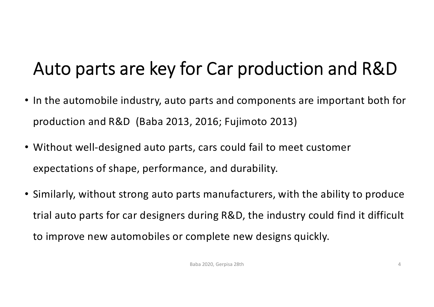# Auto parts are key for Car production and R&D

- In the automobile industry, auto parts and components are important both for production and R&D (Baba 2013, 2016; Fujimoto 2013)
- Without well-designed auto parts, cars could fail to meet customer expectations of shape, performance, and durability.
- Similarly, without strong auto parts manufacturers, with the ability to produce trial auto parts for car designers during R&D, the industry could find it difficult to improve new automobiles or complete new designs quickly.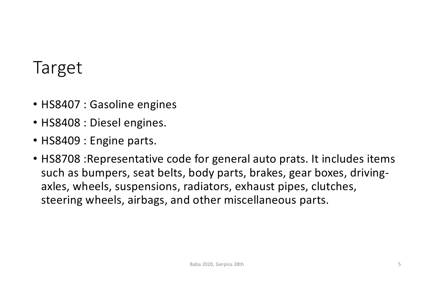#### Target

- HS8407 : Gasoline engines
- HS8408 : Diesel engines.
- HS8409 : Engine parts.
- HS8708 :Representative code for general auto prats. It includes items such as bumpers, seat belts, body parts, brakes, gear boxes, drivingaxles, wheels, suspensions, radiators, exhaust pipes, clutches, steering wheels, airbags, and other miscellaneous parts.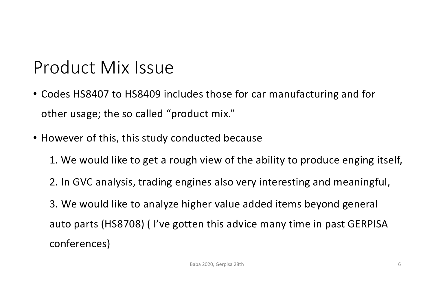#### Product Mix Issue

- Codes HS8407 to HS8409 includes those for car manufacturing and for other usage; the so called "product mix."
- However of this, this study conducted because
	- 1. We would like to get a rough view of the ability to produce enging itself,
	- 2. In GVC analysis, trading engines also very interesting and meaningful,
	- 3. We would like to analyze higher value added items beyond general auto parts (HS8708) ( I've gotten this advice many time in past GERPISA conferences)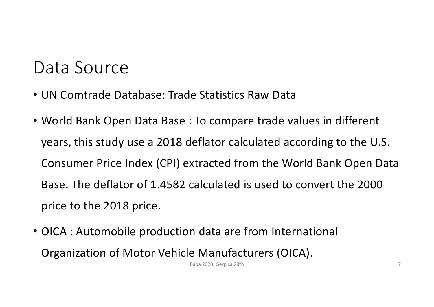#### Data Source

- UN Comtrade Database: Trade Statistics Raw Data
- World Bank Open Data Base : To compare trade values in different years, this study use a 2018 deflator calculated according to the U.S. Consumer Price Index (CPI) extracted from the World Bank Open Data Base. The deflator of 1.4582 calculated is used to convert the 2000 price to the 2018 price.
- OICA : Automobile production data are from International Organization of Motor Vehicle Manufacturers (OICA).

Baba 2020, Gerpisa 28th 7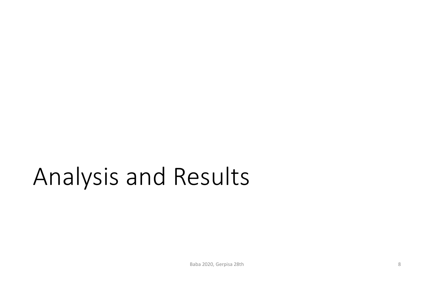# Analysis and Results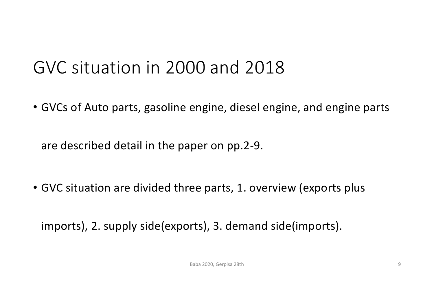#### GVC situation in 2000 and 2018

• GVCs of Auto parts, gasoline engine, diesel engine, and engine parts

are described detail in the paper on pp.2-9.

• GVC situation are divided three parts, 1. overview (exports plus

imports), 2. supply side(exports), 3. demand side(imports).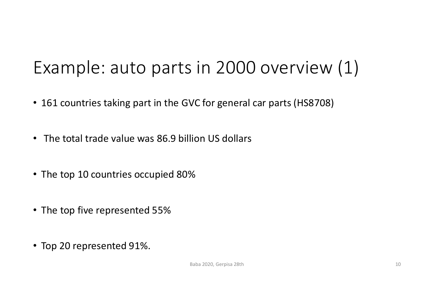# Example: auto parts in 2000 overview (1)

- 161 countries taking part in the GVC for general car parts (HS8708)
- The total trade value was 86.9 billion US dollars
- The top 10 countries occupied 80%
- The top five represented 55%
- Top 20 represented 91%.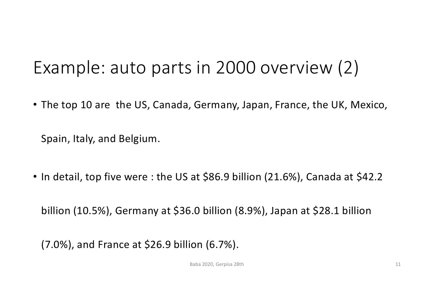## Example: auto parts in 2000 overview (2)

• The top 10 are the US, Canada, Germany, Japan, France, the UK, Mexico,

Spain, Italy, and Belgium.

• In detail, top five were : the US at \$86.9 billion (21.6%), Canada at \$42.2

billion (10.5%), Germany at \$36.0 billion (8.9%), Japan at \$28.1 billion

(7.0%), and France at \$26.9 billion (6.7%).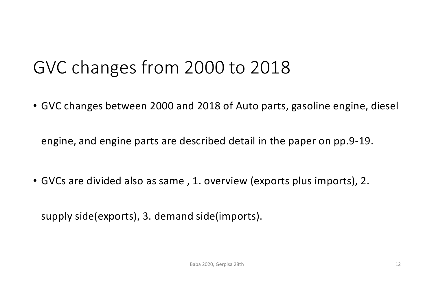## GVC changes from 2000 to 2018

• GVC changes between 2000 and 2018 of Auto parts, gasoline engine, diesel

engine, and engine parts are described detail in the paper on pp.9-19.

• GVCs are divided also as same , 1. overview (exports plus imports), 2.

supply side(exports), 3. demand side(imports).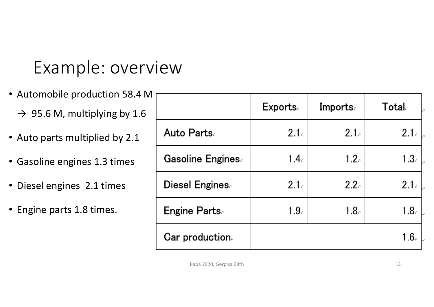## Example: overview

- Automobile production 58.4 M
	- $\rightarrow$  95.6 M, multiplying by 1.6
- Auto parts multiplied by 2.1
- Gasoline engines 1.3 times
- Diesel engines 2.1 times
- Engine parts 1.8 times.

|                         | <b>Exports</b>   | <b>Imports.</b>  | Total。           |
|-------------------------|------------------|------------------|------------------|
| <b>Auto Parts</b>       | 2.1.             | 2.1.             | 2.1.             |
| <b>Gasoline Engines</b> | 1.4 <sub>°</sub> | 1.2 <sub>o</sub> | $1.3\cdot$       |
| Diesel Engines.         | 2.1.             | 2.2.             | 2.1.             |
| <b>Engine Parts</b>     | 1.9 <sub>e</sub> | 1.8 <sub>o</sub> | 1.8 <sub>e</sub> |
| Car production.         |                  |                  | $1.6\cdot$       |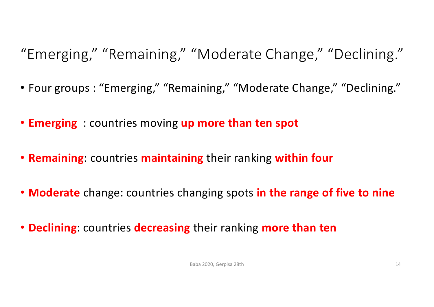"Emerging," "Remaining," "Moderate Change," "Declining."

- Four groups : "Emerging," "Remaining," "Moderate Change," "Declining."
- **Emerging** : countries moving **up more than ten spot**
- **Remaining**: countries **maintaining** their ranking **within four**
- **Moderate** change: countries changing spots **in the range of five to nine**
- **Declining**: countries **decreasing** their ranking **more than ten**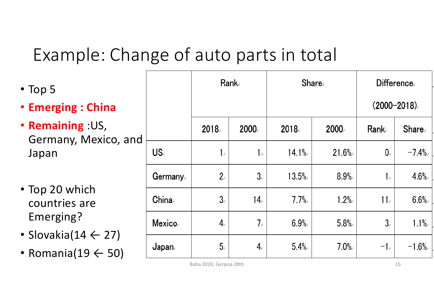# Example: Change of auto parts in total

| $\cdot$ Top 5                                                   |               | Rank。 |                            | <b>Share</b> |         | <b>Difference</b><br>$(2000 - 2018)$ . |              |
|-----------------------------------------------------------------|---------------|-------|----------------------------|--------------|---------|----------------------------------------|--------------|
| <b>• Emerging: China</b>                                        |               |       |                            |              |         |                                        |              |
| <b>• Remaining : US,</b><br>Germany, Mexico, and                |               | 2018. | 2000.                      | 2018.        | 2000    | Rank                                   | <b>Share</b> |
| Japan                                                           | US.           | 1.    | 1.                         | 14.1%        | 21.6%   | 0 <sub>o</sub>                         | $-7.4%$      |
|                                                                 | Germany       | 2.5   | 3.                         | 13.5%        | 8.9%    | 1 <sub>e</sub>                         | 4.6%         |
| • Top 20 which<br>countries are                                 | China         | $3-$  | 14 <sub>e</sub>            | 7.7%         | 1.2%    | 11 <sub>e</sub>                        | 6.6%         |
| Emerging?                                                       | <b>Mexico</b> | 4.    | 7.5                        | 6.9%         | 5.8%    | $3-$                                   | $1.1\%$      |
| • Slovakia(14 $\leftarrow$ 27)<br>• Romania(19 $\leftarrow$ 50) | Japan∍        | $5-$  | $\mathbf{4}_{\varepsilon}$ | 5.4%         | $7.0\%$ | $-1$ .                                 | $-1.6%$      |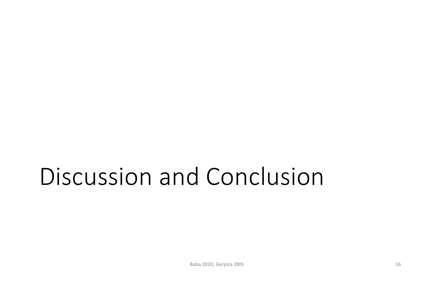# Discussion and Conclusion

Baba 2020, Gerpisa 28th 16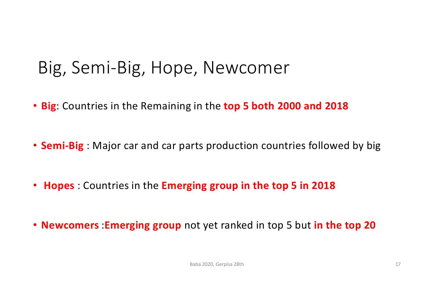#### Big, Semi-Big, Hope, Newcomer

- **Big**: Countries in the Remaining in the **top 5 both 2000 and 2018**
- **Semi-Big** : Major car and car parts production countries followed by big
- **Hopes** : Countries in the **Emerging group in the top 5 in 2018**
- **Newcomers** :**Emerging group** not yet ranked in top 5 but **in the top 20**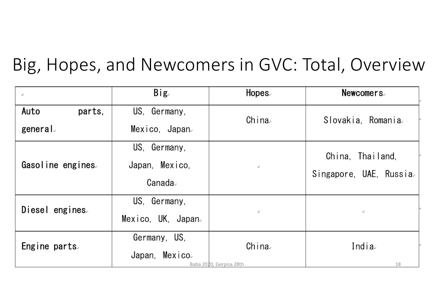#### Big, Hopes, and Newcomers in GVC: Total, Overview

| $\mathbb{C}_+$            | Big <sub>c</sub>                           | Hopes.                           | <b>Newcomers</b>                            |
|---------------------------|--------------------------------------------|----------------------------------|---------------------------------------------|
| Auto<br>parts,<br>general | US, Germany,<br>Mexico, Japan <sub>e</sub> | China                            | Slovakia, Romania                           |
| Gasoline engines.         | US, Germany,<br>Japan, Mexico,<br>Canada∍  | $\mathbb{C}_{\mathbb{P}}$        | China, Thailand,<br>Singapore, UAE, Russia. |
| Diesel engines.           | US, Germany,<br>Mexico, UK, Japan.         | $\mathbb{C}_{\mathbb{P}}$        | $\mathbb{C}_{\mathbb{P}}$                   |
| Engine parts.             | Germany, US,<br>Japan, Mexico.             | China<br>Baba 2020, Gerpisa 28th | India<br>18                                 |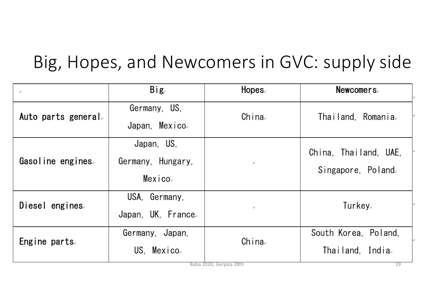# Big, Hopes, and Newcomers in GVC: supply side

| $\mathcal{L}^{\mathcal{I}}$ | Big <sub>e</sub>                           | Hopes.                           | <b>Newcomers</b>                               |
|-----------------------------|--------------------------------------------|----------------------------------|------------------------------------------------|
| Auto parts general.         | Germany, US,<br>Japan, Mexico.             | China                            | Thailand, Romania.                             |
| Gasoline engines.           | Japan, US,<br>Germany, Hungary,<br>Mexico。 | $\mathbb{C}_{\mathbb{P}}$        | China, Thailand, UAE,<br>Singapore, Poland.    |
| Diesel engines.             | USA, Germany,<br>Japan, UK, France.        | $\mathbb{C}_{\mathbb{P}}$        | Turkey。                                        |
| Engine parts.               | Germany, Japan,<br>US, Mexico.             | China<br>Baba 2020, Gerpisa 28th | South Korea, Poland,<br>Thailand, India.<br>19 |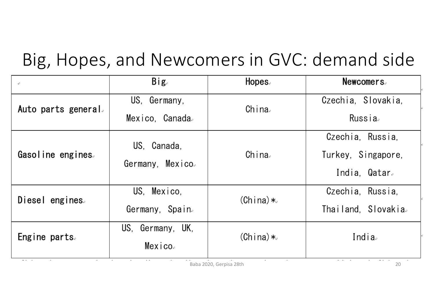## Big, Hopes, and Newcomers in GVC: demand side

| c.                    | Big <sub>e</sub>                             | Hopes.     | <b>Newcomers</b>                                              |
|-----------------------|----------------------------------------------|------------|---------------------------------------------------------------|
| Auto parts general.   | US, Germany,<br>Mexico, Canada.              | China      | Czechia, Slovakia,<br>Russia.                                 |
| Gasoline engines.     | US, Canada,<br>Germany, Mexico.              | China      | Czechia, Russia,<br>Turkey, Singapore,<br>India, Qatar.       |
| Diesel engines.       | US, Mexico,<br>Germany, Spain.               | $(China)*$ | Czechia, Russia,<br>Thailand, Slovakia.                       |
| Engine parts.<br>-- - | US, Germany, UK,<br>Mexico.<br>$\sim$ $\sim$ | $(China)*$ | India<br>$\sigma$ , $\sigma$ , $\sigma$ , $\sigma$ , $\sigma$ |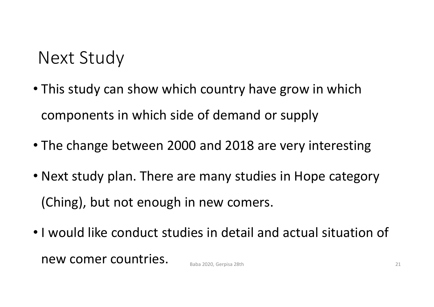#### Next Study

- This study can show which country have grow in which components in which side of demand or supply
- The change between 2000 and 2018 are very interesting
- Next study plan. There are many studies in Hope category (Ching), but not enough in new comers.
- I would like conduct studies in detail and actual situation of  $new$  comer countries.  $B_{\text{Baba 2020. Gernisa 28th}}$